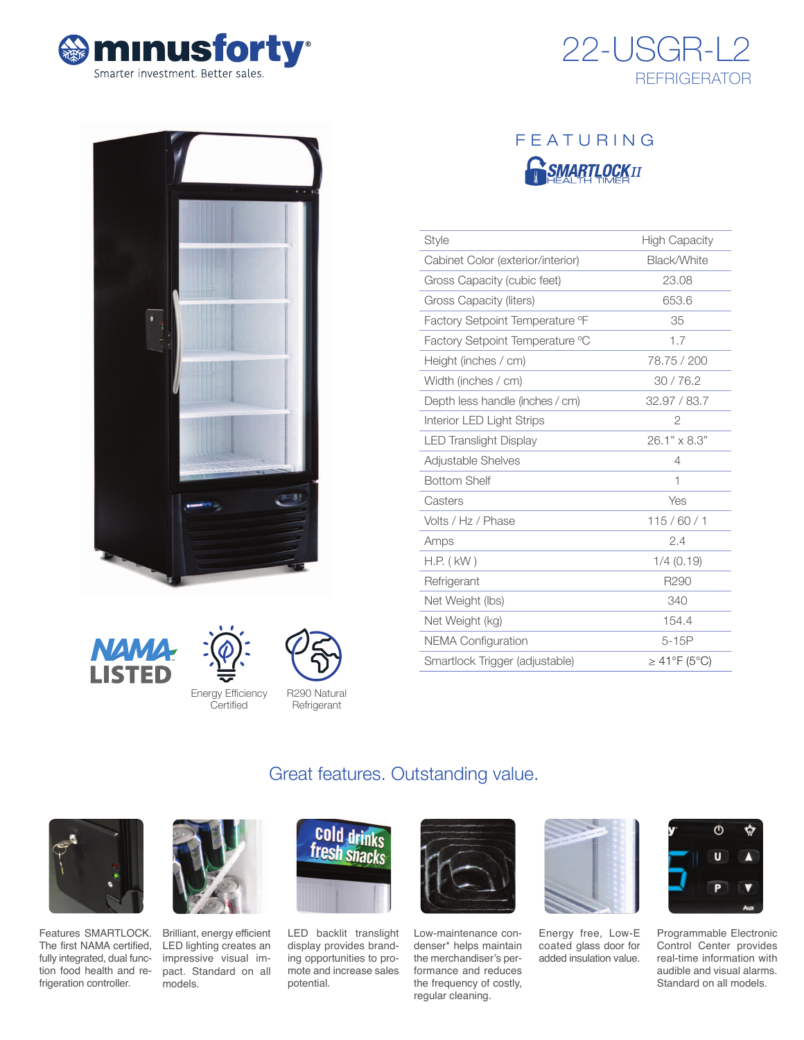







| <b>Style</b>                      | <b>High Capacity</b> |
|-----------------------------------|----------------------|
| Cabinet Color (exterior/interior) | Black/White          |
| Gross Capacity (cubic feet)       | 23.08                |
| Gross Capacity (liters)           | 653.6                |
| Factory Setpoint Temperature °F   | 35                   |
| Factory Setpoint Temperature °C   | 1.7                  |
| Height (inches / cm)              | 78.75 / 200          |
| Width (inches / cm)               | 30/76.2              |
| Depth less handle (inches / cm)   | 32.97 / 83.7         |
| Interior LED Light Strips         | $\overline{2}$       |
| <b>LED Translight Display</b>     | 26.1" x 8.3"         |
| Adjustable Shelves                | 4                    |
| <b>Bottom Shelf</b>               | 1                    |
| Casters                           | Yes                  |
| Volts / Hz / Phase                | 115/60/1             |
| Amps                              | 2.4                  |
| $H.P.$ ( $kW$ )                   | $1/4$ (0.19)         |
| Refrigerant                       | R <sub>290</sub>     |
| Net Weight (lbs)                  | 340                  |
| Net Weight (kg)                   | 154.4                |
| <b>NEMA Configuration</b>         | $5-15P$              |
| Smartlock Trigger (adjustable)    | $\geq$ 41°F (5°C)    |

# **NAM** LISTED





R290 Natural Refrigerant

## Great features. Outstanding value.



Features SMARTLOCK. The first NAMA certified, fully integrated, dual function food health and refrigeration controller.



Brilliant, energy efficient LED lighting creates an impressive visual impact. Standard on all models.



LED backlit translight display provides branding opportunities to promote and increase sales potential.



Low-maintenance condenser\* helps maintain the merchandiser's performance and reduces the frequency of costly, regular cleaning.



Energy free, Low-E coated glass door for added insulation value.



Programmable Electronic Control Center provides real-time information with audible and visual alarms. Standard on all models.